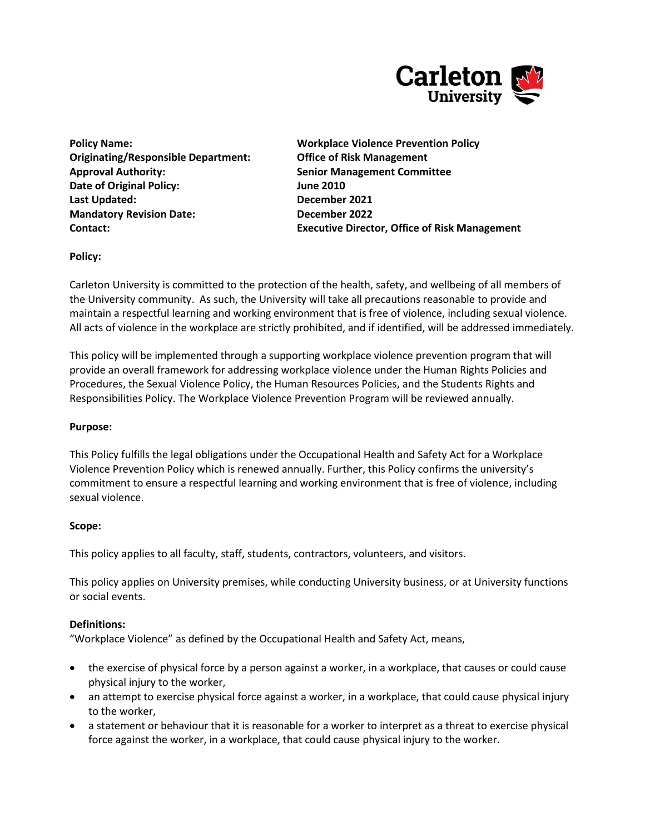

**Originating/Responsible Department: Office of Risk Management Approval Authority: Senior Management Committee Date of Original Policy: June 2010 Last Updated: December 2021 Mandatory Revision Date:** December 2022

**Policy Name: Workplace Violence Prevention Policy Contact: Executive Director, Office of Risk Management**

**Policy:**

Carleton University is committed to the protection of the health, safety, and wellbeing of all members of the University community. As such, the University will take all precautions reasonable to provide and maintain a respectful learning and working environment that is free of violence, including sexual violence. All acts of violence in the workplace are strictly prohibited, and if identified, will be addressed immediately.

This policy will be implemented through a supporting workplace violence prevention program that will provide an overall framework for addressing workplace violence under the Human Rights Policies and Procedures, the Sexual Violence Policy, the Human Resources Policies, and the Students Rights and Responsibilities Policy. The Workplace Violence Prevention Program will be reviewed annually.

### **Purpose:**

This Policy fulfills the legal obligations under the Occupational Health and Safety Act for a Workplace Violence Prevention Policy which is renewed annually. Further, this Policy confirms the university's commitment to ensure a respectful learning and working environment that is free of violence, including sexual violence.

#### **Scope:**

This policy applies to all faculty, staff, students, contractors, volunteers, and visitors.

This policy applies on University premises, while conducting University business, or at University functions or social events.

#### **Definitions:**

"Workplace Violence" as defined by the Occupational Health and Safety Act, means,

- the exercise of physical force by a person against a worker, in a workplace, that causes or could cause physical injury to the worker,
- an attempt to exercise physical force against a worker, in a workplace, that could cause physical injury to the worker,
- a statement or behaviour that it is reasonable for a worker to interpret as a threat to exercise physical force against the worker, in a workplace, that could cause physical injury to the worker.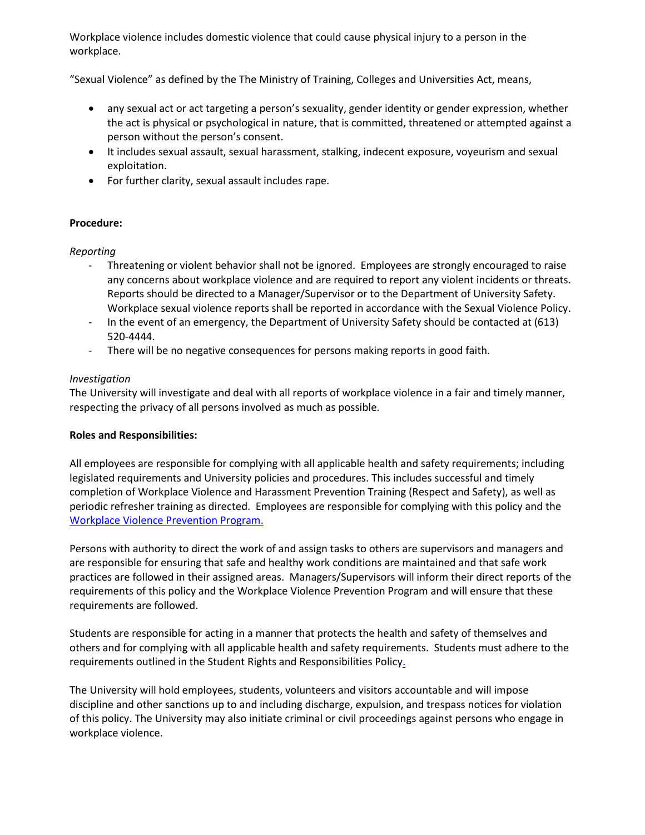Workplace violence includes domestic violence that could cause physical injury to a person in the workplace.

"Sexual Violence" as defined by the The Ministry of Training, Colleges and Universities Act, means,

- any sexual act or act targeting a person's sexuality, gender identity or gender expression, whether the act is physical or psychological in nature, that is committed, threatened or attempted against a person without the person's consent.
- It includes sexual assault, sexual harassment, stalking, indecent exposure, voyeurism and sexual exploitation.
- For further clarity, sexual assault includes rape.

## **Procedure:**

### *Reporting*

- Threatening or violent behavior shall not be ignored. Employees are strongly encouraged to raise any concerns about workplace violence and are required to report any violent incidents or threats. Reports should be directed to a Manager/Supervisor or to the Department of University Safety. Workplace sexual violence reports shall be reported in accordance with the Sexual Violence Policy.
- In the event of an emergency, the Department of University Safety should be contacted at (613) 520-4444.
- There will be no negative consequences for persons making reports in good faith.

### *Investigation*

The University will investigate and deal with all reports of workplace violence in a fair and timely manner, respecting the privacy of all persons involved as much as possible.

### **Roles and Responsibilities:**

All employees are responsible for complying with all applicable health and safety requirements; including legislated requirements and University policies and procedures. This includes successful and timely completion of Workplace Violence and Harassment Prevention Training (Respect and Safety), as well as periodic refresher training as directed. Employees are responsible for complying with this policy and the [Workplace Violence Prevention Program.](http://carleton.ca/ehs/wp-content/uploads/WorkplaceViolencePreventionProgram_March201111.pdf)

Persons with authority to direct the work of and assign tasks to others are supervisors and managers and are responsible for ensuring that safe and healthy work conditions are maintained and that safe work practices are followed in their assigned areas. Managers/Supervisors will inform their direct reports of the requirements of this policy and the Workplace Violence Prevention Program and will ensure that these requirements are followed.

Students are responsible for acting in a manner that protects the health and safety of themselves and others and for complying with all applicable health and safety requirements. Students must adhere to the requirements outlined in the Student Rights and Responsibilities Policy.

The University will hold employees, students, volunteers and visitors accountable and will impose discipline and other sanctions up to and including discharge, expulsion, and trespass notices for violation of this policy. The University may also initiate criminal or civil proceedings against persons who engage in workplace violence.